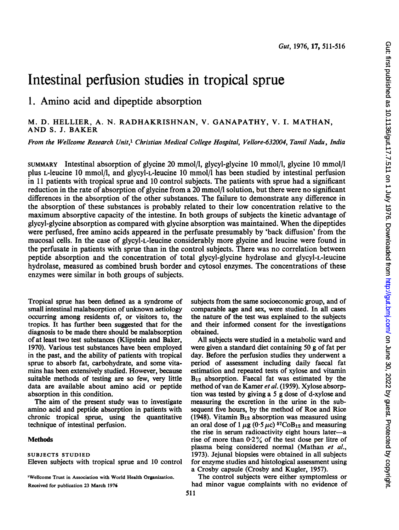# Intestinal perfusion studies in tropical sprue

1. Amino acid and dipeptide absorption

# M. D. HELLIER, A. N. RADHAKRISHNAN, V. GANAPATHY, V. I. MATHAN, AND S. J. BAKER

From the Wellcome Research Unit,' Christian Medical College Hospital, Vellore-632004, Tamil Nadu, India

SUMMARY Intestinal absorption of glycine 20 mmol/l, glycyl-glycine 10 mmol/l, glycine 10 mmol/l plus L-leucine 10 mmol/l, and glycyl-L-leucine 10 mmol/l has been studied by intestinal perfusion in <sup>11</sup> patients with tropical sprue and 10 control subjects. The patients with sprue had a significant reduction in the rate of absorption of glycine from a 20 mmol/l solution, but there were no significant differences in the absorption of the other substances. The failure to demonstrate any difference in the absorption of these substances is probably related to their low concentration relative to the maximum absorptive capacity of the intestine. In both groups of subjects the kinetic advantage of glycyl-glycine absorption as compared with glycine absorption was maintained. When the dipeptides were perfused, free amino acids appeared in the perfusate presumably by 'back diffusion' from the mucosal cells. In the case of glycyl-L-leucine considerably more glycine and leucine were found in the perfusate in patients with sprue than in the control subjects. There was no correlation between peptide absorption and the concentration of total glycyl-glycine hydrolase and glycyl-L-leucine hydrolase, measured as combined brush border and cytosol enzymes. The concentrations of these enzymes were similar in both groups of subjects.

Tropical sprue has been defined as a syndrome of small intestinal malabsorption of unknown aetiology occurring among residents of, or visitors to, the tropics. It has further been suggested that for the diagnosis to be made there should be malabsorption of at least two test substances (Klipstein and Baker, 1970). Various test substances have been employed in the past, and the ability of patients with tropical sprue to absorb fat, carbohydrate, and some vitamins has been extensively studied. However, because suitable methods of testing are so few, very little data are available about amino acid or peptide absorption in this condition.

The aim of the present study was to investigate amino acid and peptide absorption in patients with chronic tropical sprue, using the quantitative technique of intestinal perfusion.

# **Methods**

SUBJECTS STUDIED

Eleven subjects with tropical sprue and 10 control

'Wellcome Trust in Association with World Health Organization. Received for publication 23 March 1976

subjects from the same socioeconomic group, and of comparable age and sex, were studied. In all cases the nature of the test was explained to the subjects and their informed consent for the investigations obtained.

All subjects were studied in a metabolic ward and were given a standard diet containing 50 g of fat per day. Before the perfusion studies they underwent a period of assessment including daily faecal fat estimation and repeated tests of xylose and vitamin B<sub>12</sub> absorption. Faecal fat was estimated by the method of van de Kamer et al. (1959). Xylose absorption was tested by giving a 5 g dose of d-xylose and measuring the excretion in the urine in the subsequent five hours, by the method of Roe and Rice (1948). Vitamin  $B_{12}$  absorption was measured using an oral dose of 1  $\mu$ g (0.5  $\mu$ c) <sup>57</sup>CoB<sub>12</sub> and measuring the rise in serum radioactivity eight hours later-a rise of more than  $0.2\%$  of the test dose per litre of plasma being considered normal (Mathan et al., 1973). Jejunal biopsies were obtained in all subjects for enzyme studies and histological assessment using a Crosby capsule (Crosby and Kugler, 1957).

The control subjects were either symptomless or had minor vague complaints with no evidence of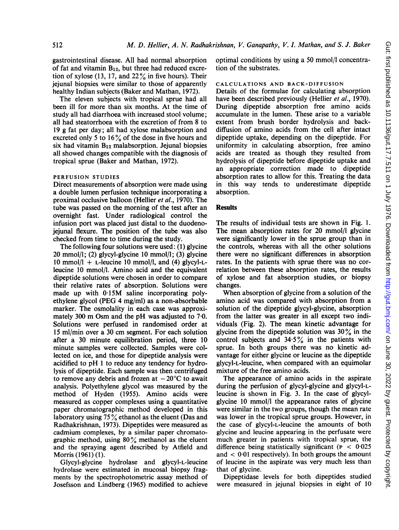gastrointestinal disease. All had normal absorption of fat and vitamin  $B_{12}$ , but three had reduced excretion of xylose (13, 17, and  $22\%$  in five hours). Their jejunal biopsies were similar to those of apparently healthy Indian subjects (Baker and Mathan, 1972).

The eleven subjects with tropical sprue had all been ill for more than six months. At the time of study all had diarrhoea with increased stool volume; all had steatorrhoea with the excretion of from 8 to 19 g fat per day; all had xylose malabsorption and excreted only 5 to  $16\%$  of the dose in five hours and six had vitamin  $B_{12}$  malabsorption. Jejunal biopsies all showed changes compatible with the diagnosis of tropical sprue (Baker and Mathan, 1972).

# PERFUSION STUDIES

Direct measurements of absorption were made using a double lumen perfusion technique incorporating a proximal occlusive balloon (Hellier et al., 1970). The tube was passed on the morning of the test after an overnight fast. Under radiological control the infusion port was placed just distal to the duodenojejunal flexure. The position of the tube was also checked from time to time during the study.

The following four solutions were used: (1) glycine 20 mmol/l; (2) glycyl-glycine 10 mmol/l; (3) glycine  $10 \text{ mmol/l}$  + L-leucine 10 mmol/l, and (4) glycyl-Lleucine 10 mmol/l. Amino acid and the equivalent dipeptide solutions were chosen in order to compare their relative rates of absorption. Solutions were made up with 0.15M saline incorporating polyethylene glycol (PEG 4 mg/ml) as a non-absorbable marker. The osmolality in each case was approximately <sup>300</sup> m Osm and the pH was adjusted to 7-0. Solutions were perfused in randomised order at 15 ml/min over a 30 cm segment. For each solution after a 30 minute equilibration period, three 10 minute samples were collected. Samples were collected on ice, and those for dipeptide analysis were acidified to pH <sup>1</sup> to reduce any tendency for hydrolysis of dipeptide. Each sample was then centrifuged to remove any debris and frozen at  $-20^{\circ}$ C to await analysis. Polyethylene glycol was measured by the method of Hyden (1955). Amino acids were measured as copper complexes using a quantitative paper chromatographic method developed in this laboratory using <sup>75</sup> % ethanol as the eluent (Das and Radhakrishnan, 1973). Dipeptides were measured as cadmium complexes, by a similar paper chromatographic method, using  $80\%$  methanol as the eluent and the spraying agent described by Atfield and Morris (1961) (1).

Glycyl-glycine hydrolase and glycyl-L-leucine hydrolase were estimated in mucosal biopsy fragments by the spectrophotometric assay method of Josefsson and Lindberg (1965) modified to achieve optimal conditions by using a 50 mmol/l concentration of the substrates.

### CALCULATIONS AND BACK-DIFFUSION

Details of the formulae for calculating absorption have been described previously (Hellier et al., 1970). During dipeptide absorption free amino acids accumulate in the lumen. These arise to a variable extent from brush border hydrolysis and backdiffusion of amino acids from the cell after intact dipeptide uptake, depending on the dipeptide. For uniformity in calculating absorption, free amino acids are treated as though they resulted from hydrolysis of dipeptide before dipeptide uptake and an appropriate correction made to dipeptide absorption rates to allow for this. Treating the data in this way tends to underestimate dipeptide absorption.

# Results

The results of individual tests are shown in Fig. 1. The mean absorption rates for 20 mmol/l glycine were significantly lower in the sprue group than in the controls, whereas with all the other solutions there were no significant differences in absorption rates. In the patients with sprue there was no correlation between these absorption rates, the results of xylose and fat absorption studies, or biopsy changes.

When absorption of glycine from a solution of the amino acid was compared with absorption from a solution of the dipeptide glycyl-glycine, absorption from the latter was greater in all except two individuals (Fig. 2). The mean kinetic advantage for glycine from the dipeptide solution was  $30\%$  in the control subjects and  $34.5\%$  in the patients with sprue. In both groups there was no kinetic advantage for either glycine or leucine as the dipeptide glycyl-L-leucine, when compared with an equimolar mixture of the free amino acids.

The appearance of amino acids in the aspirate during the perfusion of glycyl-glycine and glycyl-Lleucine is shown in Fig. 3. In the case of glycylglycine 10 mmol/l the appearance rates of glycine were similar in the two groups, though the mean rate was lower in the tropical sprue groups. However, in the case of glycyl-L-leucine the amounts of both glycine and leucine appearing in the perfusate were much greater in patients with tropical sprue, the difference being statistically significant ( $p < 0.025$ ) and  $\langle 0.01 \rangle$  respectively). In both groups the amount of leucine in the aspirate was very much less than that of glycine.

Dipeptidase levels for both dipeptides studied were measured in jejunal biopsies in eight of 10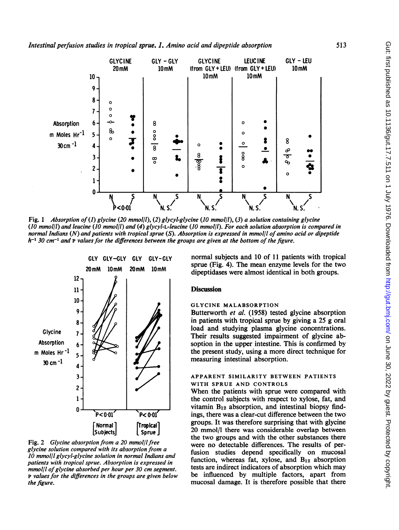

Fig. <sup>1</sup> Absorption of (1) glycine (20 mmol/l), (2) glycyl-glycine (10 mmol/l), (3) a solution containing glycine (10 mmol/l) and leucine (10 mmol/l) and (4) glycyl-L-leucine (10 mmol/l). For each solution absorption is compared in normal Indians (N) and patients with tropical sprue (S). Absorption is expressed in mmol/l of amino acid or dipeptide  $h^{-1}$  30 cm<sup>-1</sup> and P values for the differences between the groups are given at the bottom of the figure.



Fig. 2 Glycine absorption from a 20 mmol/l free glycine solution compared with its absorption from a 10 mmol/l glycyl-glycine solution in normal Indians and patients with tropical sprue. Absorption is expressed in mmol/l of glycine absorbed per hour per 30 cm segment. P values for the differences in the groups are given below the figure.

normal subjects and 10 of 11 patients with tropical sprue (Fig. 4). The mean enzyme levels for the two dipeptidases were almost identical in both groups.

# **Discussion**

# GLYCINE MALABSORPTION

Butterworth et al. (1958) tested glycine absorption in patients with tropical sprue by giving a 25 g oral load and studying plasma glycine concentrations. Their results suggested impairment of glycine absoption in the upper intestine. This is confirmed by the present study, using a more direct technique for measuring intestinal absorption.

# APPARENT SIMILARITY BETWEEN PATIENTS WITH SPRUE AND CONTROLS

When the patients with sprue were compared with the control subjects with respect to xylose, fat, and vitamin  $B_{12}$  absorption, and intestinal biopsy findings, there was a clear-cut difference between the two groups. It was therefore surprising that with glycine 20 mmol/l there was considerable overlap between the two groups and with the other substances there were no detectable differences. The results of perfusion studies depend specifically on mucosal function, whereas fat, xylose, and  $B_{12}$  absorption tests are indirect indicators of absorption which may be influenced by multiple factors, apart from mucosal damage. It is therefore possible that there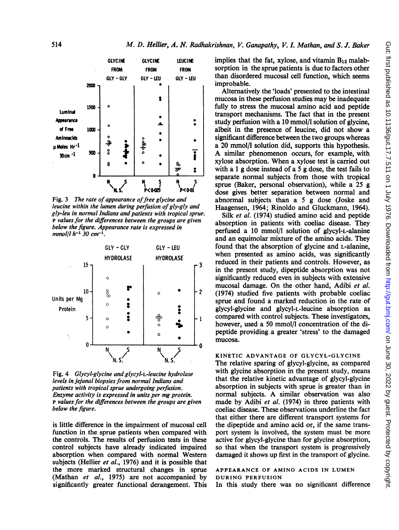

Fig. 3 The rate of appearance of free glycine and leucine within the lumen during perfusion of  $gly-gly$  and gly-leu in normal Indians and patients with tropical sprue. P values for the differences between the groups are given below the figure. Appearance rate is expressed in  $mmol/l h^{-1} 30 cm^{-1}$ .



Fig. 4 Glycyl-glycine and glycyl-L-leucine hydrolase levels in jejunal biopsies from normal Indians and patients with tropical sprue undergoing perfusion. Enzyme activity is expressed in units per ng protein. P values for the differences between the groups are given below the figure.

is little difference in the impairment of mucosal cell function in the sprue patients when compared with the controls. The results of perfusion tests in these control subjects have already indicated impaired absorption when compared with normal Western subjects (Hellier et al., 1976) and it is possible that the more marked structural changes in sprue (Mathan et al., 1975) are not accompanied by significantly greater functional derangement. This

GLYCINE GLYCINE LEUCINE implies that the fat, xylose, and vitamin  $B_{12}$  malab-FROM FROM FROM SOLET FROM SOLET In the sprue patients is due to factors other  $GLY - GLY - GLY - LEU$   $GLY - LEU$  than disordered mucosal cell function, which seems improbable.

Alternatively the 'loads' presented to the intestinal mucosa in these perfusion studies may be inadequate fully to stress the mucosal amino acid and peptide . transport mechanisms. The fact that in the present  $\Box$   $\Box$  study perfusion with a 10 mmol/l solution of glycine, albeit in the presence of leucine, did not show a o . significant difference between the two groups whereas  $\frac{3}{8}$   $\frac{3}{8}$   $\frac{1}{8}$  . a 20 mmol/l solution did, supports this hypothesis. <sup>8</sup> A similar phenomenon occurs, for example, with <sup>8</sup> \* . 8, xylose absorption. When <sup>a</sup> xylose test is carried out with a 1 g dose instead of a 5 g dose, the test fails to separate normal subjects from those with tropical  $\begin{bmatrix} 1 & 1 \\ 1 & 2 \end{bmatrix}$  sprue (Baker, personal observation), while a 25 g P<063 P<01 dose gives better separation between normal and abnormal subjects than a 5 g dose (Joske and Haagensen, 1964; Rinoldo and Gluckmann, 1964).

Silk et al. (1974) studied amino acid and peptide. absorption in patients with coeliac disease. They perfused a 10 mmol/l solution of glycyl-L-alanine and an equimolar mixture of the amino acids. They  $GLY - GLY$ <br>GLY - GLY - LEU found that the absorption of glycine and L-alanine,<br>when presented as amino acids, was significantly HYDROLASE HYDROLASE  $\begin{array}{r} \text{with} \text{pseudide as a number decels, was significantly} \\ \text{reduced in their patients and controls. However, as} \end{array}$ in the present study, dipeptide absorption was not o significantly reduced even in subjects with extensive  $\begin{array}{c|c|c|c|c|c} \mathbf{S} & \mathbf{S} & \mathbf{S} & \mathbf{S} & \mathbf{S} & \mathbf{S} & \mathbf{S} & \mathbf{S} & \mathbf{S} & \mathbf{S} & \mathbf{S} & \mathbf{S} & \mathbf{S} & \mathbf{S} & \mathbf{S} & \mathbf{S} & \mathbf{S} & \mathbf{S} & \mathbf{S} & \mathbf{S} & \mathbf{S} & \mathbf{S} & \mathbf{S} & \mathbf{S} & \mathbf{S} & \mathbf{S} & \mathbf{S} & \mathbf{S} & \mathbf{S} &$  $\circ$   $\bullet$   $\bullet$  sprue and found a marked reduction in the rate of glycyl-glycine and glycyl-L-leucine absorption as <sup>0</sup> <sup>i</sup> . - <sup>l</sup> compared with control subjects. These investigators,  $\sim$   $\frac{1}{2}$   $\frac{1}{2}$  however, used a 50 mmol/l concentration of the dipeptide providing a greater 'stress' to the damaged mucosa.

# KINETIC ADVANTAGE OF GLYCYL-GLYCINE

The relative sparing of glycyl-glycine, as compared with glycine absorption in the present study, means that the relative kinetic advantage of glycyl-glycine absorption in subjects with sprue is greater than in normal subjects. A similar observation was also made by Adibi et al. (1974) in three patients with coeliac disease. These observations underline the fact that either there are different transport systems for the dipeptide and amino acid or, if the same transport system is involved, the system must be more active for glycyl-glycine than for glycine absorption, so that when the transport system is progressively damaged it shows up first in the transport of glycine.

## APPEARANCE OF AMINO ACIDS IN LUMEN DURING PERFUSION

In this study there was no significant difference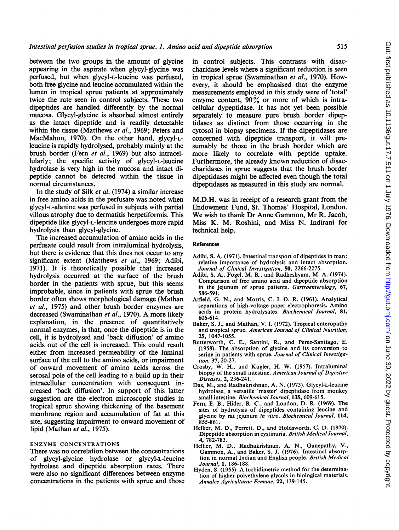between the two groups in the amount of glycine appearing in the aspirate when glycyl-glycine was perfused, but when glycyl-L-leucine was perfused, both free glycine and leucine accumulated within the lumen in tropical sprue patients at approximately twice the rate seen in control subjects. These two dipeptides are handled differently by the normal mucosa. Glycyl-glycine is absorbed almost entirely as the intact dipeptide and is readily detectable within the tissue (Matthews et al., 1969; Peters and MacMahon, 1970). On the other hand, glycyl-Lleucine is rapidly hydrolysed, probably mainly at the brush border (Fern et al., 1969) but also intracellularly; the specific activity of glycyl-L-leucine hydrolase is very high in the mucosa and intact dipeptide cannot be detected within the tissue in normal circumstances.

In the study of Silk et al. (1974) a similar increase in free amino acids in the perfusate was noted when glycyl-L-alanine was perfused in subjects with partial villous atrophy due to dermatitis herpetiformis. This dipeptide like glycyl-L-leucine undergoes more rapid hydrolysis than glycyl-glycine.

The increased accumulation of amino acids in the perfusate could result from intraluminal hydrolysis, but there is evidence that this does not occur to any significant extent (Matthews et al., 1969; Adibi, 1971). It is theoretically possible that increased hydrolysis occurred at the surface of the brush border in the patients with sprue, but this seems improbable, since in patients with sprue the brush border often shows morphological damage (Mathan et al., 1975) and other brush border enzymes are decreased (Swaminathan et al., 1970). A more likely explanation, in the presence of quantitatively normal enzymes, is that, once the dipeptide is in the cell, it is hydrolysed and 'back diffusion' of amino acids out of the cell is increased. This could result either from increased permeability of the luminal surface of the cell to the amino acids, or impairment of onward movement of amino acids across the serosal pole of the cell leading to a build up in their intracellular concentration with consequent increased 'back diffusion'. In support of this latter suggestion are the electron microscopic studies in tropical sprue showing thickening of the basement membrane region and accumulation of fat at this site, suggesting impairment to onward movement of lipid (Mathan et al., 1975).

#### ENZYME CONCENTRATIONS

There was no correlation between the concentrations of glycyl-glycine hydrolase or glycyl-L-leucine hydrolase and dipeptide absorption rates. There were also no significant differences between enzyme concentrations in the patients with sprue and those in control subjects. This contrasts with disaccharidase levels where a significant reduction is seen in tropical sprue (Swaminathan et al., 1970). Howevery, it should be emphasised that the enzyme measurements employed in this study were of 'total' enzyme content,  $90\%$  or more of which is intracellular dypeptidase. It has not yet been possible separately to measure pure brush border dipeptidases as distinct from those occurring in the cytosol in biopsy specimens. If the dipeptidases are concerned with dipeptide transport, it will presumably be those in the brush border which are more likely to correlate with peptide uptake. Furthermore, the already known reduction of disaccharidases in sprue suggests that the brush border dipeptidases might be affected even though the total dipeptidases as measured in this study are normal.

M.D.H. was in receipt of a research grant from the Endowment Fund, St. Thomas' Hospital, London. We wish to thank Dr Anne Gammon, Mr R. Jacob, Miss K. M. Roshini, and Miss N. Indirani for technical help.

#### References

- Adibi, S. A. (1971). Intestinal transport of dipeptides in man: relative importance of hydrolysis and intact absorption. Journal of Clinical Investigation, 50, 2266-2275.
- Adibi, S. A., Fogel, M. R., and Radheshyam, M. A. (1974). Comparison of free amino acid and dipeptide absorption in the jejunum of sprue patients. Gastroenterology, 67, 586-591.
- Atfield, G. N., and Morris, C. J. 0. R. (1961). Analytical separations of high-voltage paper electrophoresis. Amino acids in protein hydrolysates. Biochemical Journal, 81, 606-614.
- Baker, S. J., and Mathan, V. I. (1972). Tropical enteropathy and tropical sprue. American Journal of Clinical Nutrition, 25, 1047-1055.
- Butterworth, C. E., Santini, R., and Perez-Santiago, E. (1958). The absorption of glycine and its conversion to serine in patients with sprue. Journal of Clinical Investigation, 37, 20-27.
- Crosby, W. H., and Kugler, H. W. (1957). Intraluminal biopsy of the small intestine. American Journal of Digestive Diseases, 2, 236-241.
- Das, M., and Radhakrishnan, A. N. (1973). Glycyl-L-leucine hydrolase, a versatile 'master' dipeptidase from monkey small intestine. Biochemical Journal, 135, 609-615.
- Fern, E. B., Hider, R. C., and London, D. R. (1969). The sites of hydrolysis of dipeptides containing leucine and glycine by rat jejunum in vitro. Biochemical Journal, 114, 855-861.
- Hellier, M. D., Perrett, D., and Holdsworth, C. D. (1970). Dipeptide absorption in cystinuria. British Medical Journal, 4, 782-783.
- Hellier, M. D., Radhakrishnan, A. N., Ganepathy, V., Gammon, A., and Baker, S. J. (1976). Intestinal absorption in normal Indian and English people. British Medical Journal, 1, 186-188.
- Hyden, S. (1955). A turbidimetric method for the determination of higher polyethylene glycols in biological materials. Annales Agriculturae Fenniae, 22, 139-145.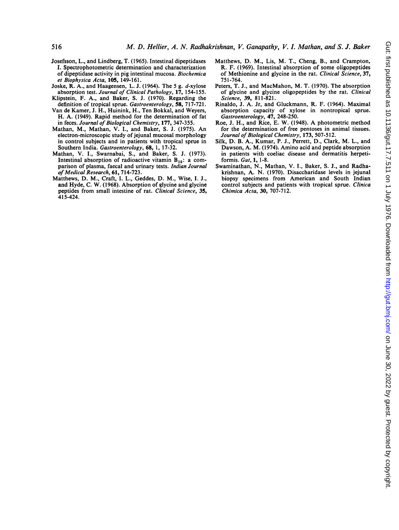- Josefsson, L., and Lindberg, T. (1965). Intestinal dipeptidases I. Spectrophotometric determination and characterization of dipeptidase activity in pig intestinal mucosa. Biochemica et Biophysica Acta, 105, 149-161.
- Joske, R. A., and Haagensen, L. J. (1964). The <sup>5</sup> g. d-xylose absorption test. Journal of Clinical Pathology, 17, 154-155.
- Klipstein, F. A., and Baker, S. J. (1970). Regarding the definition of tropical sprue. Gastroenterology, 58, 717-721.
- Van de Kamer, J. H., Huinink, H., Ten Bokkal, and Weyers, H. A. (1949). Rapid method for the determination of fat in feces. Journal of Biological Chemistry, 177, 347-355.
- Mathan, M., Mathan, V. I., and Baker, S. J. (1975). An electron-microscopic study of jejunal mucosal morphology in control subjects and in patients with tropical sprue in Southern India. Gastroenterology, 68, 1, 17-32.
- Mathan, V. I., Swarnabai, S., and Baker, S. J. (1973). Intestinal absorption of radioactive vitamin  $B_{12}$ : a comparison of plasma, faecal and urinary tests. Indian Journal of Medical Research, 61, 714-723.
- Matthews, D. M., Craft, I. L., Geddes, D. M., Wise, I. J., and Hyde, C. W. (1968). Absorption of glycine and glycine peptides from small intestine of rat. Clinical Science, 35, 415-424.
- Matthews, D. M., Lis, M. T., Cheng, B., and Crampton, R. F. (1969). Intestinal absorption of some oligopeptides of Methionine and glycine in the rat. Clinical Science, 37, 751-764.
- Peters, T. J., and MacMahon, M. T. (1970). The absorption of glycine and glycine oligopeptides by the rat. Clinical Science, 39, 811-821.
- Rinaldo, J. A. Jr, and Gluckmann, R. F. (1964). Maximal absorption capacity of xylose in nontropical sprue. Gastroenterology, 47, 248-250.
- Roe, J. H., and Rice, E. W. (1948). A photometric method for the determination of free pentoses in animal tissues. Journal of Biological Chemistry, 173, 507-512.
- Silk, D. B. A., Kumar, P. J., Perrett, D., Clark, M. L., and Dawson, A. M. (1974). Amino acid and peptide absorption in patients with coeliac disease and dermatitis herpetiformis. Gut, 1, 1-8.
- Swaminathan, N., Mathan, V. I., Baker, S. J., and Radhakrishnan, A. N. (1970). Disaccharidase levels in jejunal biopsy specimens from American and South Indian control subjects and patients with tropical sprue. Clinica Chimica Acta, 30, 707-712.